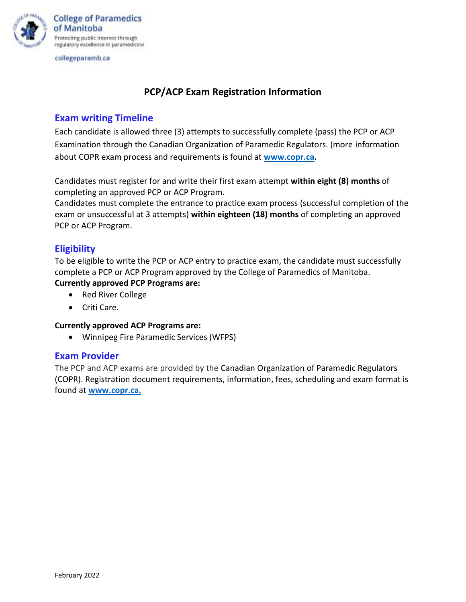

collegeparamb.ca

# **PCP/ACP Exam Registration Information**

## **Exam writing Timeline**

Each candidate is allowed three (3) attempts to successfully complete (pass) the PCP or ACP Examination through the Canadian Organization of Paramedic Regulators. (more information about COPR exam process and requirements is found at **[www.copr.ca.](http://www.copr.ca/)**

Candidates must register for and write their first exam attempt **within eight (8) months** of completing an approved PCP or ACP Program.

Candidates must complete the entrance to practice exam process (successful completion of the exam or unsuccessful at 3 attempts) **within eighteen (18) months** of completing an approved PCP or ACP Program.

# **Eligibility**

To be eligible to write the PCP or ACP entry to practice exam, the candidate must successfully complete a PCP or ACP Program approved by the College of Paramedics of Manitoba. **Currently approved PCP Programs are:** 

- Red River College
- Criti Care.

#### **Currently approved ACP Programs are:**

• Winnipeg Fire Paramedic Services (WFPS)

### **Exam Provider**

The PCP and ACP exams are provided by the Canadian Organization of Paramedic Regulators (COPR). Registration document requirements, information, fees, scheduling and exam format is found at **[www.copr.ca.](http://www.copr.ca/)**